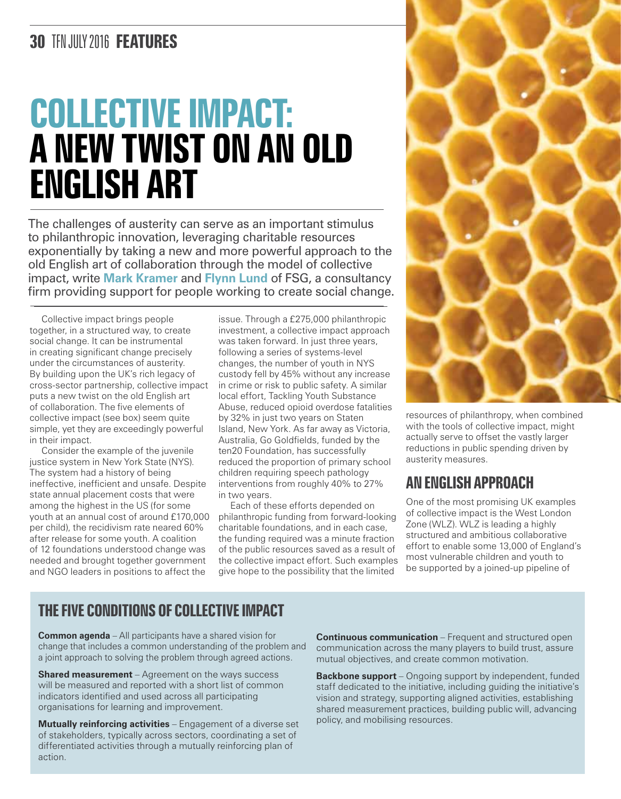## **30** TFN JULY 2016 **FEATURES**

# **COLLECTIVE IMPACT: A NEW TWIST ON AN OLD ENGLISH ART**

The challenges of austerity can serve as an important stimulus to philanthropic innovation, leveraging charitable resources exponentially by taking a new and more powerful approach to the old English art of collaboration through the model of collective impact, write **Mark Kramer** and **Flynn Lund** of FSG, a consultancy firm providing support for people working to create social change.

Collective impact brings people together, in a structured way, to create social change. It can be instrumental in creating significant change precisely under the circumstances of austerity. By building upon the UK's rich legacy of cross-sector partnership, collective impact puts a new twist on the old English art of collaboration. The five elements of collective impact (see box) seem quite simple, yet they are exceedingly powerful in their impact.

Consider the example of the juvenile justice system in New York State (NYS). The system had a history of being ineffective, inefficient and unsafe. Despite state annual placement costs that were among the highest in the US (for some youth at an annual cost of around £170,000 per child), the recidivism rate neared 60% after release for some youth. A coalition of 12 foundations understood change was needed and brought together government and NGO leaders in positions to affect the

issue. Through a £275,000 philanthropic investment, a collective impact approach was taken forward. In just three years, following a series of systems-level changes, the number of youth in NYS custody fell by 45% without any increase in crime or risk to public safety. A similar local effort, Tackling Youth Substance Abuse, reduced opioid overdose fatalities by 32% in just two years on Staten Island, New York. As far away as Victoria, Australia, Go Goldfields, funded by the ten20 Foundation, has successfully reduced the proportion of primary school children requiring speech pathology interventions from roughly 40% to 27% in two years.

Each of these efforts depended on philanthropic funding from forward-looking charitable foundations, and in each case, the funding required was a minute fraction of the public resources saved as a result of the collective impact effort. Such examples give hope to the possibility that the limited



resources of philanthropy, when combined with the tools of collective impact, might actually serve to offset the vastly larger reductions in public spending driven by austerity measures.

#### **An English approach**

One of the most promising UK examples of collective impact is the West London Zone (WLZ). WLZ is leading a highly structured and ambitious collaborative effort to enable some 13,000 of England's most vulnerable children and youth to be supported by a joined-up pipeline of

#### **THE FIVE CONDITIONS OF COLLECTIVE IMPACT**

**Common agenda** – All participants have a shared vision for change that includes a common understanding of the problem and a joint approach to solving the problem through agreed actions.

**Shared measurement** – Agreement on the ways success will be measured and reported with a short list of common indicators identified and used across all participating organisations for learning and improvement.

**Mutually reinforcing activities** – Engagement of a diverse set of stakeholders, typically across sectors, coordinating a set of differentiated activities through a mutually reinforcing plan of action.

**Continuous communication** – Frequent and structured open communication across the many players to build trust, assure mutual objectives, and create common motivation.

**Backbone support** – Ongoing support by independent, funded staff dedicated to the initiative, including guiding the initiative's vision and strategy, supporting aligned activities, establishing shared measurement practices, building public will, advancing policy, and mobilising resources.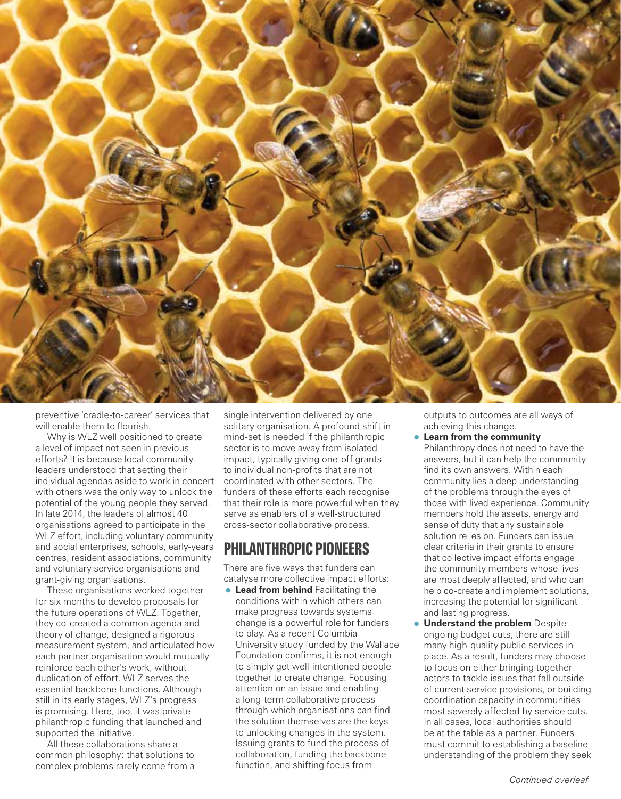

preventive 'cradle-to-career' services that will enable them to flourish.

Why is WLZ well positioned to create a level of impact not seen in previous efforts? It is because local community leaders understood that setting their individual agendas aside to work in concert with others was the only way to unlock the potential of the young people they served. In late 2014, the leaders of almost 40 organisations agreed to participate in the WLZ effort, including voluntary community and social enterprises, schools, early-years centres, resident associations, community and voluntary service organisations and grant-giving organisations.

These organisations worked together for six months to develop proposals for the future operations of WLZ. Together, they co-created a common agenda and theory of change, designed a rigorous measurement system, and articulated how each partner organisation would mutually reinforce each other's work, without duplication of effort. WLZ serves the essential backbone functions. Although still in its early stages, WLZ's progress is promising. Here, too, it was private philanthropic funding that launched and supported the initiative.

All these collaborations share a common philosophy: that solutions to complex problems rarely come from a single intervention delivered by one solitary organisation. A profound shift in mind-set is needed if the philanthropic sector is to move away from isolated impact, typically giving one-off grants to individual non-profits that are not coordinated with other sectors. The funders of these efforts each recognise that their role is more powerful when they serve as enablers of a well-structured cross-sector collaborative process.

#### **Philanthropic pioneers**

There are five ways that funders can catalyse more collective impact efforts:

• **Lead from behind** Facilitating the conditions within which others can make progress towards systems change is a powerful role for funders to play. As a recent Columbia University study funded by the Wallace Foundation confirms, it is not enough to simply get well-intentioned people together to create change. Focusing attention on an issue and enabling a long-term collaborative process through which organisations can find the solution themselves are the keys to unlocking changes in the system. Issuing grants to fund the process of collaboration, funding the backbone function, and shifting focus from

outputs to outcomes are all ways of achieving this change.

- **Learn from the community** Philanthropy does not need to have the answers, but it can help the community find its own answers. Within each community lies a deep understanding of the problems through the eyes of those with lived experience. Community members hold the assets, energy and sense of duty that any sustainable solution relies on. Funders can issue clear criteria in their grants to ensure that collective impact efforts engage the community members whose lives are most deeply affected, and who can help co-create and implement solutions, increasing the potential for significant and lasting progress.
- **Understand the problem** Despite ongoing budget cuts, there are still many high-quality public services in place. As a result, funders may choose to focus on either bringing together actors to tackle issues that fall outside of current service provisions, or building coordination capacity in communities most severely affected by service cuts. In all cases, local authorities should be at the table as a partner. Funders must commit to establishing a baseline understanding of the problem they seek